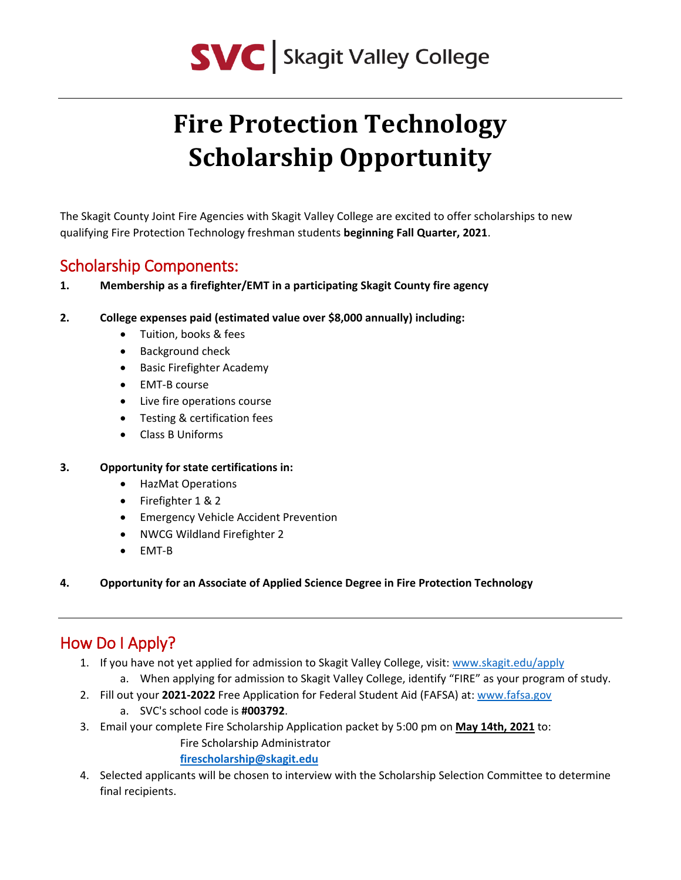

# **Fire Protection Technology Scholarship Opportunity**

The Skagit County Joint Fire Agencies with Skagit Valley College are excited to offer scholarships to new qualifying Fire Protection Technology freshman students **beginning Fall Quarter, 2021**.

## Scholarship Components:

- **1. Membership as a firefighter/EMT in a participating Skagit County fire agency**
- **2. College expenses paid (estimated value over \$8,000 annually) including:**
	- Tuition, books & fees
	- Background check
	- Basic Firefighter Academy
	- EMT-B course
	- Live fire operations course
	- Testing & certification fees
	- Class B Uniforms
- **3. Opportunity for state certifications in:**
	- HazMat Operations
	- Firefighter 1 & 2
	- Emergency Vehicle Accident Prevention
	- NWCG Wildland Firefighter 2
	- EMT-B
- **4. Opportunity for an Associate of Applied Science Degree in Fire Protection Technology**

## How Do I Apply?

- 1. If you have not yet applied for admission to Skagit Valley College, visit: [www.skagit.edu/apply](http://www.skagit.edu/apply)
	- a. When applying for admission to Skagit Valley College, identify "FIRE" as your program of study.
- 2. Fill out your **2021-2022** Free Application for Federal Student Aid (FAFSA) at: [www.fafsa.gov](http://www.fafsa.gov/) a. SVC's school code is **#003792**.
- 3. Email your complete Fire Scholarship Application packet by 5:00 pm on **May 14th, 2021** to: Fire Scholarship Administrator

#### **[firescholarship@skagit.edu](mailto:firescholarship@skagit.edu)**

4. Selected applicants will be chosen to interview with the Scholarship Selection Committee to determine final recipients.